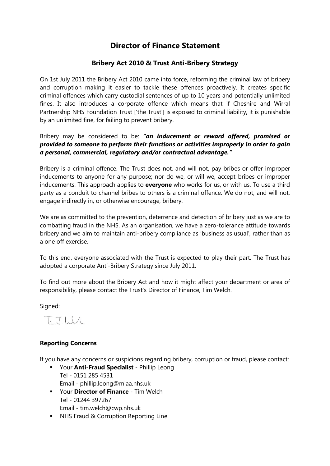## **Director of Finance Statement**

## **Bribery Act 2010 & Trust Anti-Bribery Strategy**

On 1st July 2011 the Bribery Act 2010 came into force, reforming the criminal law of bribery and corruption making it easier to tackle these offences proactively. It creates specific criminal offences which carry custodial sentences of up to 10 years and potentially unlimited fines. It also introduces a corporate offence which means that if Cheshire and Wirral Partnership NHS Foundation Trust ['the Trust'] is exposed to criminal liability, it is punishable by an unlimited fine, for failing to prevent bribery.

Bribery may be considered to be: *"an inducement or reward offered, promised or provided to someone to perform their functions or activities improperly in order to gain a personal, commercial, regulatory and/or contractual advantage."*

Bribery is a criminal offence. The Trust does not, and will not, pay bribes or offer improper inducements to anyone for any purpose; nor do we, or will we, accept bribes or improper inducements. This approach applies to **everyone** who works for us, or with us. To use a third party as a conduit to channel bribes to others is a criminal offence. We do not, and will not, engage indirectly in, or otherwise encourage, bribery.

We are as committed to the prevention, deterrence and detection of bribery just as we are to combatting fraud in the NHS. As an organisation, we have a zero-tolerance attitude towards bribery and we aim to maintain anti-bribery compliance as 'business as usual', rather than as a one off exercise.

To this end, everyone associated with the Trust is expected to play their part. The Trust has adopted a corporate Anti-Bribery Strategy since July 2011.

To find out more about the Bribery Act and how it might affect your department or area of responsibility, please contact the Trust's Director of Finance, Tim Welch.

Signed:

T. J.WL

## **Reporting Concerns**

If you have any concerns or suspicions regarding bribery, corruption or fraud, please contact:

- Your **Anti-Fraud Specialist** Phillip Leong Tel - 0151 285 4531 Email - phillip.leong@miaa.nhs.uk
- Your **Director of Finance** Tim Welch Tel - 01244 397267 Email - tim.welch@cwp.nhs.uk
- NHS Fraud & Corruption Reporting Line